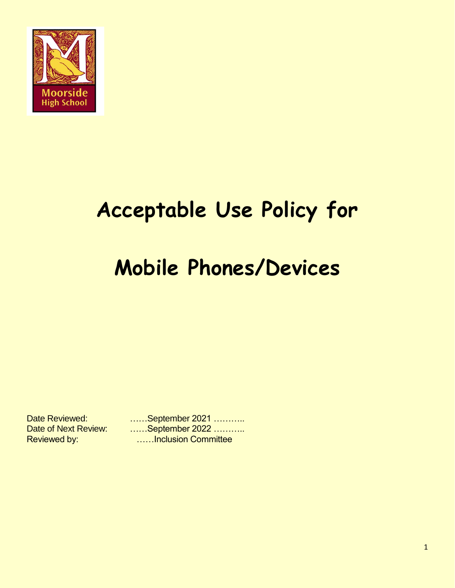

# **Acceptable Use Policy for**

# **Mobile Phones/Devices**

Date Reviewed: ……September 2021 ……….. Date of Next Review: ......September 2022 ........... Reviewed by: **Example 20 Reviewed by: We also consider the Reviewed by: COME**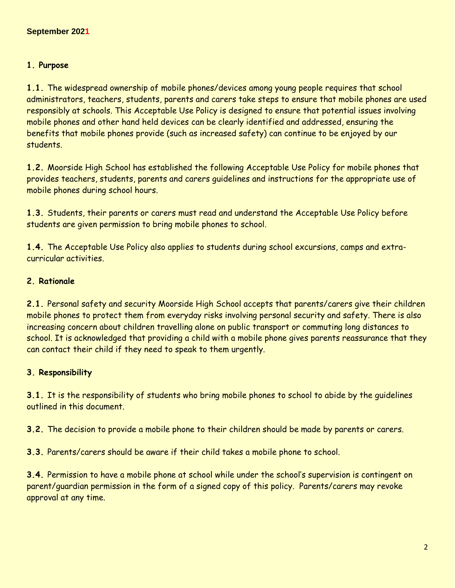#### **1. Purpose**

**1.1.** The widespread ownership of mobile phones/devices among young people requires that school administrators, teachers, students, parents and carers take steps to ensure that mobile phones are used responsibly at schools. This Acceptable Use Policy is designed to ensure that potential issues involving mobile phones and other hand held devices can be clearly identified and addressed, ensuring the benefits that mobile phones provide (such as increased safety) can continue to be enjoyed by our students.

**1.2.** Moorside High School has established the following Acceptable Use Policy for mobile phones that provides teachers, students, parents and carers guidelines and instructions for the appropriate use of mobile phones during school hours.

**1.3.** Students, their parents or carers must read and understand the Acceptable Use Policy before students are given permission to bring mobile phones to school.

**1.4.** The Acceptable Use Policy also applies to students during school excursions, camps and extracurricular activities.

### **2. Rationale**

**2.1.** Personal safety and security Moorside High School accepts that parents/carers give their children mobile phones to protect them from everyday risks involving personal security and safety. There is also increasing concern about children travelling alone on public transport or commuting long distances to school. It is acknowledged that providing a child with a mobile phone gives parents reassurance that they can contact their child if they need to speak to them urgently.

## **3. Responsibility**

**3.1.** It is the responsibility of students who bring mobile phones to school to abide by the guidelines outlined in this document.

**3.2.** The decision to provide a mobile phone to their children should be made by parents or carers.

**3.3.** Parents/carers should be aware if their child takes a mobile phone to school.

**3.4.** Permission to have a mobile phone at school while under the school's supervision is contingent on parent/guardian permission in the form of a signed copy of this policy. Parents/carers may revoke approval at any time.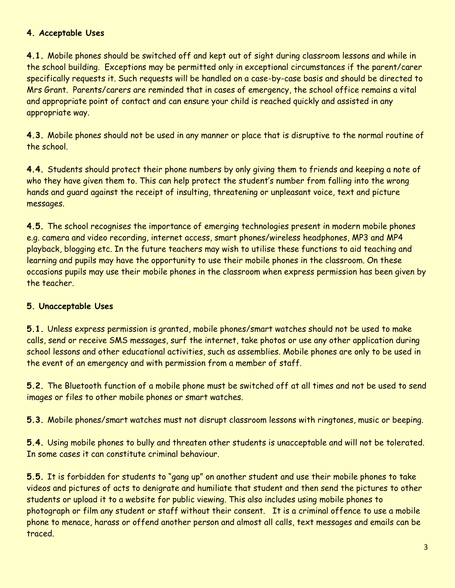### **4. Acceptable Uses**

**4.1.** Mobile phones should be switched off and kept out of sight during classroom lessons and while in the school building. Exceptions may be permitted only in exceptional circumstances if the parent/carer specifically requests it. Such requests will be handled on a case-by-case basis and should be directed to Mrs Grant. Parents/carers are reminded that in cases of emergency, the school office remains a vital and appropriate point of contact and can ensure your child is reached quickly and assisted in any appropriate way.

**4.3.** Mobile phones should not be used in any manner or place that is disruptive to the normal routine of the school.

**4.4.** Students should protect their phone numbers by only giving them to friends and keeping a note of who they have given them to. This can help protect the student's number from falling into the wrong hands and guard against the receipt of insulting, threatening or unpleasant voice, text and picture messages.

**4.5.** The school recognises the importance of emerging technologies present in modern mobile phones e.g. camera and video recording, internet access, smart phones/wireless headphones, MP3 and MP4 playback, blogging etc. In the future teachers may wish to utilise these functions to aid teaching and learning and pupils may have the opportunity to use their mobile phones in the classroom. On these occasions pupils may use their mobile phones in the classroom when express permission has been given by the teacher.

## **5. Unacceptable Uses**

**5.1.** Unless express permission is granted, mobile phones/smart watches should not be used to make calls, send or receive SMS messages, surf the internet, take photos or use any other application during school lessons and other educational activities, such as assemblies. Mobile phones are only to be used in the event of an emergency and with permission from a member of staff.

**5.2.** The Bluetooth function of a mobile phone must be switched off at all times and not be used to send images or files to other mobile phones or smart watches.

**5.3.** Mobile phones/smart watches must not disrupt classroom lessons with ringtones, music or beeping.

**5.4.** Using mobile phones to bully and threaten other students is unacceptable and will not be tolerated. In some cases it can constitute criminal behaviour.

**5.5.** It is forbidden for students to "gang up" on another student and use their mobile phones to take videos and pictures of acts to denigrate and humiliate that student and then send the pictures to other students or upload it to a website for public viewing. This also includes using mobile phones to photograph or film any student or staff without their consent. It is a criminal offence to use a mobile phone to menace, harass or offend another person and almost all calls, text messages and emails can be traced.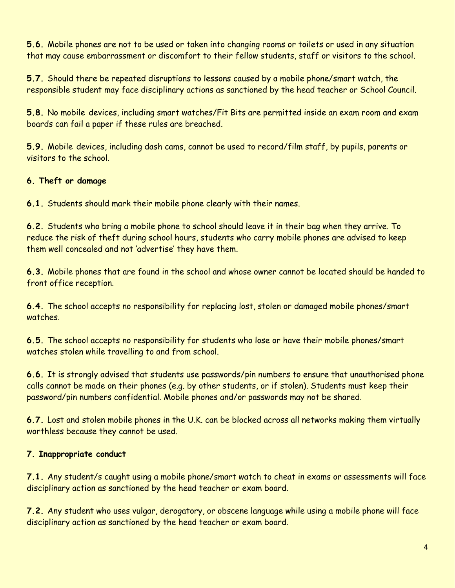**5.6.** Mobile phones are not to be used or taken into changing rooms or toilets or used in any situation that may cause embarrassment or discomfort to their fellow students, staff or visitors to the school.

**5.7.** Should there be repeated disruptions to lessons caused by a mobile phone/smart watch, the responsible student may face disciplinary actions as sanctioned by the head teacher or School Council.

**5.8.** No mobile devices, including smart watches/Fit Bits are permitted inside an exam room and exam boards can fail a paper if these rules are breached.

**5.9.** Mobile devices, including dash cams, cannot be used to record/film staff, by pupils, parents or visitors to the school.

## **6. Theft or damage**

**6.1.** Students should mark their mobile phone clearly with their names.

**6.2.** Students who bring a mobile phone to school should leave it in their bag when they arrive. To reduce the risk of theft during school hours, students who carry mobile phones are advised to keep them well concealed and not 'advertise' they have them.

**6.3.** Mobile phones that are found in the school and whose owner cannot be located should be handed to front office reception.

**6.4.** The school accepts no responsibility for replacing lost, stolen or damaged mobile phones/smart watches.

**6.5.** The school accepts no responsibility for students who lose or have their mobile phones/smart watches stolen while travelling to and from school.

**6.6.** It is strongly advised that students use passwords/pin numbers to ensure that unauthorised phone calls cannot be made on their phones (e.g. by other students, or if stolen). Students must keep their password/pin numbers confidential. Mobile phones and/or passwords may not be shared.

**6.7.** Lost and stolen mobile phones in the U.K. can be blocked across all networks making them virtually worthless because they cannot be used.

## **7. Inappropriate conduct**

**7.1.** Any student/s caught using a mobile phone/smart watch to cheat in exams or assessments will face disciplinary action as sanctioned by the head teacher or exam board.

**7.2.** Any student who uses vulgar, derogatory, or obscene language while using a mobile phone will face disciplinary action as sanctioned by the head teacher or exam board.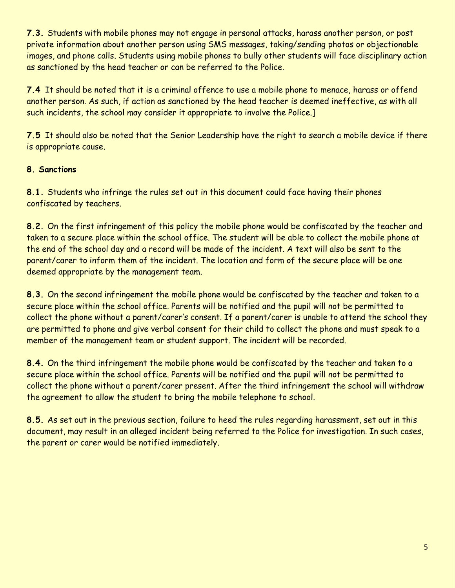**7.3.** Students with mobile phones may not engage in personal attacks, harass another person, or post private information about another person using SMS messages, taking/sending photos or objectionable images, and phone calls. Students using mobile phones to bully other students will face disciplinary action as sanctioned by the head teacher or can be referred to the Police.

**7.4** It should be noted that it is a criminal offence to use a mobile phone to menace, harass or offend another person. As such, if action as sanctioned by the head teacher is deemed ineffective, as with all such incidents, the school may consider it appropriate to involve the Police.]

**7.5** It should also be noted that the Senior Leadership have the right to search a mobile device if there is appropriate cause.

## **8. Sanctions**

**8.1.** Students who infringe the rules set out in this document could face having their phones confiscated by teachers.

**8.2.** On the first infringement of this policy the mobile phone would be confiscated by the teacher and taken to a secure place within the school office. The student will be able to collect the mobile phone at the end of the school day and a record will be made of the incident. A text will also be sent to the parent/carer to inform them of the incident. The location and form of the secure place will be one deemed appropriate by the management team.

**8.3.** On the second infringement the mobile phone would be confiscated by the teacher and taken to a secure place within the school office. Parents will be notified and the pupil will not be permitted to collect the phone without a parent/carer's consent. If a parent/carer is unable to attend the school they are permitted to phone and give verbal consent for their child to collect the phone and must speak to a member of the management team or student support. The incident will be recorded.

**8.4.** On the third infringement the mobile phone would be confiscated by the teacher and taken to a secure place within the school office. Parents will be notified and the pupil will not be permitted to collect the phone without a parent/carer present. After the third infringement the school will withdraw the agreement to allow the student to bring the mobile telephone to school.

**8.5.** As set out in the previous section, failure to heed the rules regarding harassment, set out in this document, may result in an alleged incident being referred to the Police for investigation. In such cases, the parent or carer would be notified immediately.